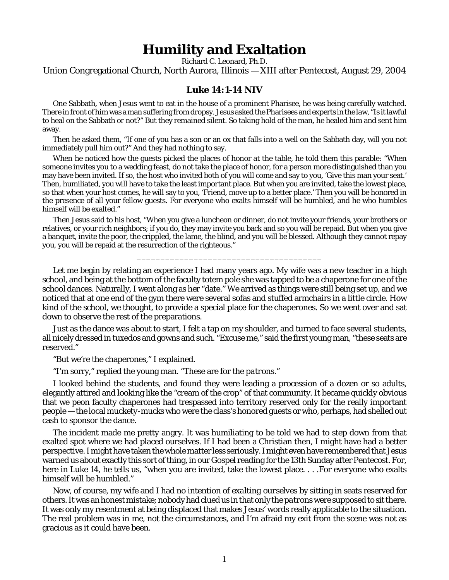## **Humility and Exaltation**

Richard C. Leonard, Ph.D.

Union Congregational Church, North Aurora, Illinois — XIII after Pentecost, August 29, 2004

## **Luke 14:1-14 NIV**

One Sabbath, when Jesus went to eat in the house of a prominent Pharisee, he was being carefully watched. There in front of him was a man suffering from dropsy. Jesus asked the Pharisees and experts in the law, "Is it lawful to heal on the Sabbath or not?" But they remained silent. So taking hold of the man, he healed him and sent him away.

Then he asked them, "If one of you has a son or an ox that falls into a well on the Sabbath day, will you not immediately pull him out?" And they had nothing to say.

When he noticed how the guests picked the places of honor at the table, he told them this parable: "When someone invites you to a wedding feast, do not take the place of honor, for a person more distinguished than you may have been invited. If so, the host who invited both of you will come and say to you, 'Give this man your seat.' Then, humiliated, you will have to take the least important place. But when you are invited, take the lowest place, so that when your host comes, he will say to you, 'Friend, move up to a better place.' Then you will be honored in the presence of all your fellow guests. For everyone who exalts himself will be humbled, and he who humbles himself will be exalted."

Then Jesus said to his host, "When you give a luncheon or dinner, do not invite your friends, your brothers or relatives, or your rich neighbors; if you do, they may invite you back and so you will be repaid. But when you give a banquet, invite the poor, the crippled, the lame, the blind, and you will be blessed. Although they cannot repay you, you will be repaid at the resurrection of the righteous."

\_\_\_\_\_\_\_\_\_\_\_\_\_\_\_\_\_\_\_\_\_\_\_\_\_\_\_\_\_\_\_\_\_\_\_\_\_\_\_

Let me begin by relating an experience I had many years ago. My wife was a new teacher in a high school, and being at the bottom of the faculty totem pole she was tapped to be a chaperone for one of the school dances. Naturally, I went along as her "date." We arrived as things were still being set up, and we noticed that at one end of the gym there were several sofas and stuffed armchairs in a little circle. How kind of the school, we thought, to provide a special place for the chaperones. So we went over and sat down to observe the rest of the preparations.

Just as the dance was about to start, I felt a tap on my shoulder, and turned to face several students, all nicely dressed in tuxedos and gowns and such. "Excuse me," said the first young man, "these seats are reserved."

"But we're the chaperones," I explained.

"I'm sorry," replied the young man. "These are for the *patrons*."

I looked behind the students, and found they were leading a procession of a dozen or so adults, elegantly attired and looking like the "cream of the crop" of that community. It became quickly obvious that we peon faculty chaperones had trespassed into territory reserved only for the really important people — the local *muckety-mucks* who were the class's honored guests or who, perhaps, had shelled out cash to sponsor the dance.

The incident made me pretty angry. It was humiliating to be told we had to step down from that exalted spot where we had placed ourselves. If I had been a Christian then, I might have had a better perspective. I might have taken the whole matter less seriously. I might even have remembered that Jesus warned us about exactly this sort of thing, in our Gospel reading for the 13th Sunday after Pentecost. For, here in Luke 14, he tells us, "when you are invited, take the lowest place... . For everyone who exalts himself will be humbled."

Now, of course, my wife and I had no intention of *exalting ourselves* by sitting in seats reserved for others. It was an honest mistake; nobody had clued us in that only the *patrons* were supposed to sit there. It was only my resentment at being displaced that makes Jesus' words really applicable to the situation. The real problem was in *me*, not the circumstances, and I'm afraid my exit from the scene was not as gracious as it could have been.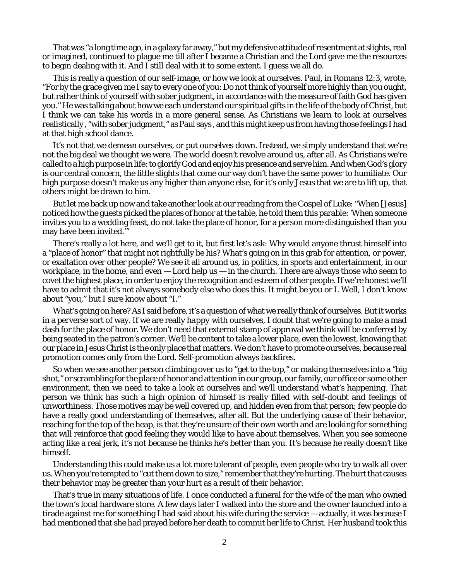That was "a long time ago, in a galaxy far away," but my defensive attitude of resentment at slights, real or imagined, continued to plague me till after I became a Christian and the Lord gave me the resources to begin dealing with it. And I still deal with it to some extent. I guess we all do.

This is really a question of our self-image, or how we look at ourselves. Paul, in Romans 12:3, wrote, "For by the grace given me I say to every one of you: Do not think of yourself more highly than you ought, but rather think of yourself with sober judgment, in accordance with the measure of faith God has given you." He was talking about how we each understand our spiritual gifts in the life of the body of Christ, but I think we can take his words in a more general sense. As Christians we learn to look at ourselves realistically , "with sober judgment," as Paul says , and this might keep us from having those feelings I had at that high school dance.

It's not that we demean ourselves, or put ourselves down. Instead, we simply understand that we're not the big deal we thought we were. The world doesn't revolve around us, after all. As Christians we're called to a high purpose in life: to glorify God and enjoy his presence and serve him. And when God's glory is our central concern, the little slights that come our way don't have the same power to humiliate. Our high purpose doesn't make *us* any higher than anyone else, for it's only Jesus that we are to lift up, that others might be drawn to him.

But let me back up now and take another look at our reading from the Gospel of Luke: "When [Jesus] noticed how the guests picked the places of honor at the table, he told them this parable: 'When someone invites you to a wedding feast, do not take the place of honor, for a person more distinguished than you may have been invited.'

There's really a lot here, and we'll get to it, but first let's ask: Why would anyone thrust himself into a "place of honor" that might not rightfully be his? What's going on in this grab for attention, or power, or exaltation over other people? We see it all around us, in politics, in sports and entertainment, in our workplace, in the home, and even  $-$  Lord help us  $-$  in the church. There are always those who seem to covet the highest place, in order to enjoy the recognition and esteem of other people. If we're honest we'll have to admit that it's not always somebody else who does this. It might be you or I. Well, I don't know about "you," but I sure know about "I."

What's going on here? As I said before, it's a question of what we really think of ourselves. But it works in a perverse sort of way. If we are really *happy* with ourselves, I doubt that we're going to make a mad dash for the place of honor. We don't need that external stamp of approval we think will be conferred by being seated in the patron's corner. We'll be content to take a lower place, even the lowest, knowing that our place in Jesus Christ is the only place that matters. We don't have to promote ourselves, because real promotion comes only from the Lord. Self-promotion always backfires.

So when we see another person climbing over us to "get to the top," or making themselves into a "big shot," or scrambling for the place of honor and attention in our group, our family, our office or some other environment, then we need to take a look at ourselves and we'll understand what's happening. That person we think has such a high opinion of himself is really filled with self-doubt and feelings of unworthiness. Those motives may be well covered up, and hidden even from that person; few people do have a really good understanding of themselves, after all. But the underlying cause of their behavior, reaching for the top of the heap, is that they're unsure of their own worth and are looking for something that will reinforce that good feeling they would *like to have* about themselves. When you see someone acting like a real jerk, it's not because he thinks he's better than you. It's because he really *doesn't like himself*.

Understanding this could make us a lot more tolerant of people, even people who try to walk all over us. When you're tempted to "cut them down to size," remember that they're *hurting*. The hurt that causes their behavior may be greater than your hurt as a result of their behavior.

That's true in many situations of life. I once conducted a funeral for the wife of the man who owned the town's local hardware store. A few days later I walked into the store and the owner launched into a tirade against me for something I had said about his wife during the service — actually, it was because I had mentioned that she had prayed before her death to commit her life to Christ. Her husband took this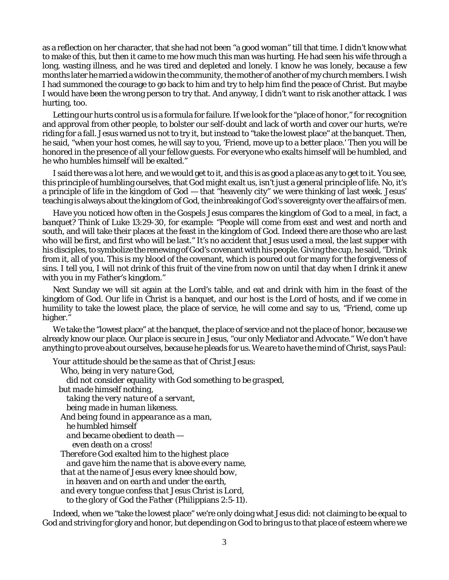as a reflection on her character, that she had not been "a good woman" till that time. I didn't know what to make of this, but then it came to me how much this man was hurting. He had seen his wife through a long, wasting illness, and he was tired and depleted and lonely. I know he was lonely, because a few months later he married a widow in the community, the mother of another of my church members. I wish I had summoned the courage to go back to him and try to help him find the peace of Christ. But maybe I would have been the wrong person to try that. And anyway, I didn't want to risk another attack. I was hurting, too.

Letting our hurts control us is a formula for failure. If we look for the "place of honor," for recognition and approval from other people, to bolster our self-doubt and lack of worth and cover our hurts, we're riding for a fall. Jesus warned us not to try it, but instead to "take the lowest place" at the banquet. Then, he said, "when your host comes, he will say to you, 'Friend, move up to a better place.' Then you will be honored in the presence of all your fellow guests. For everyone who exalts himself will be humbled, and he who humbles himself will be exalted."

I said there was a lot here, and we would get to it, and this is as good a place as any to get to it. You see, this principle of humbling ourselves, that God might exalt us, isn't just a general principle of life. No, it's a principle of life in the *kingdom of God* — that "heavenly city" we were thinking of last week. Jesus' teaching is always about the kingdom of God, the inbreaking of God's sovereignty over the affairs of men.

Have you noticed how often in the Gospels Jesus compares the kingdom of God to a meal, in fact, a *banquet?* Think of Luke 13:29-30, for example: "People will come from east and west and north and south, and will take their places at the feast in the kingdom of God. Indeed there are those who are last who will be first, and first who will be last." It's no accident that Jesus used a meal, the last supper with his disciples, to symbolize the renewing of God's covenant with his people. Giving the cup, he said, "Drink from it, all of you. This is my blood of the covenant, which is poured out for many for the forgiveness of sins. I tell you, I will not drink of this fruit of the vine from now on until that day when I drink it anew with you in my Father's kingdom."

Next Sunday we will sit again at the Lord's table, and eat and drink with him in the feast of the kingdom of God. Our life in Christ is a banquet, and our host is the Lord of hosts, and if we come in humility to take the lowest place, the place of service, he will come and say to us, "Friend, come up higher."

We take the "lowest place" at the banquet, the place of service and not the place of honor, because we already know our place. Our place is secure in Jesus, "our only Mediator and Advocate." We don't have anything to prove about ourselves, because he pleads for us. We are to have the mind of Christ, says Paul:

```
Your attitude should be the same as that of Christ Jesus: 
 Who, being in very nature God, 
  did not consider equality with God something to be grasped, 
but made himself nothing, 
  taking the very nature of a servant, 
  being made in human likeness. 
And being found in appearance as a man, 
  he humbled himself 
  and became obedient to death —
    even death on a cross! 
 Therefore God exalted him to the highest place 
  and gave him the name that is above every name, 
 that at the name of Jesus every knee should bow, 
  in heaven and on earth and under the earth, 
and every tongue confess that Jesus Christ is Lord, 
  to the glory of God the Father (Philippians 2:5-11).
```
Indeed, when we "take the lowest place" we're only doing what Jesus did: not claiming to be equal to God and striving for glory and honor, but depending on God to bring us to that place of esteem where we